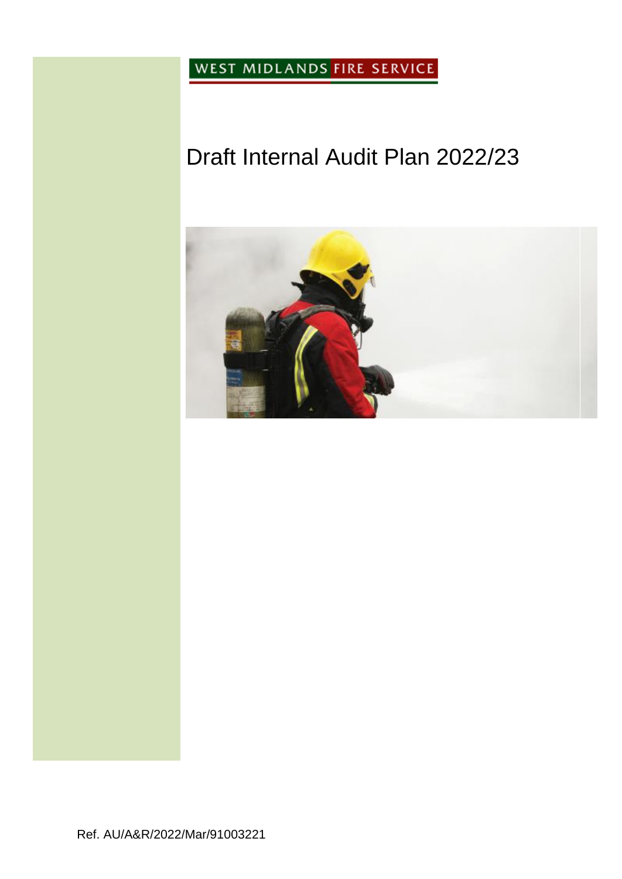WEST MIDLANDS FIRE SERVICE

# Draft Internal Audit Plan 2022/23

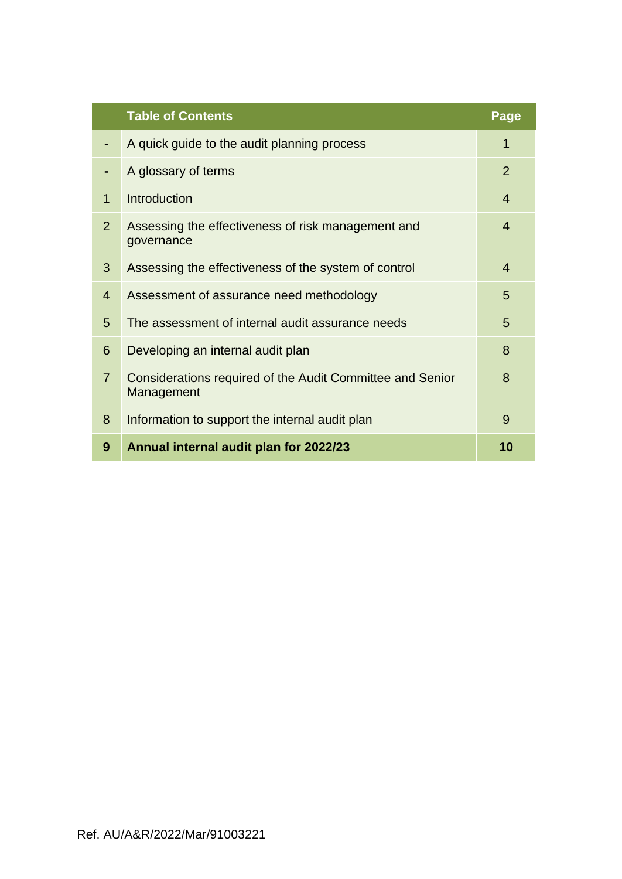|                | <b>Table of Contents</b>                                                | Page           |
|----------------|-------------------------------------------------------------------------|----------------|
|                | A quick guide to the audit planning process                             | 1              |
|                | A glossary of terms                                                     | $\overline{2}$ |
| $\mathbf{1}$   | Introduction                                                            | $\overline{4}$ |
| $\overline{2}$ | Assessing the effectiveness of risk management and<br>governance        | 4              |
| 3              | Assessing the effectiveness of the system of control                    | 4              |
| $\overline{4}$ | Assessment of assurance need methodology                                | 5              |
| 5              | The assessment of internal audit assurance needs                        | 5              |
| 6              | Developing an internal audit plan                                       | 8              |
| $\overline{7}$ | Considerations required of the Audit Committee and Senior<br>Management | 8              |
| 8              | Information to support the internal audit plan                          | 9              |
| 9              | Annual internal audit plan for 2022/23                                  | 10             |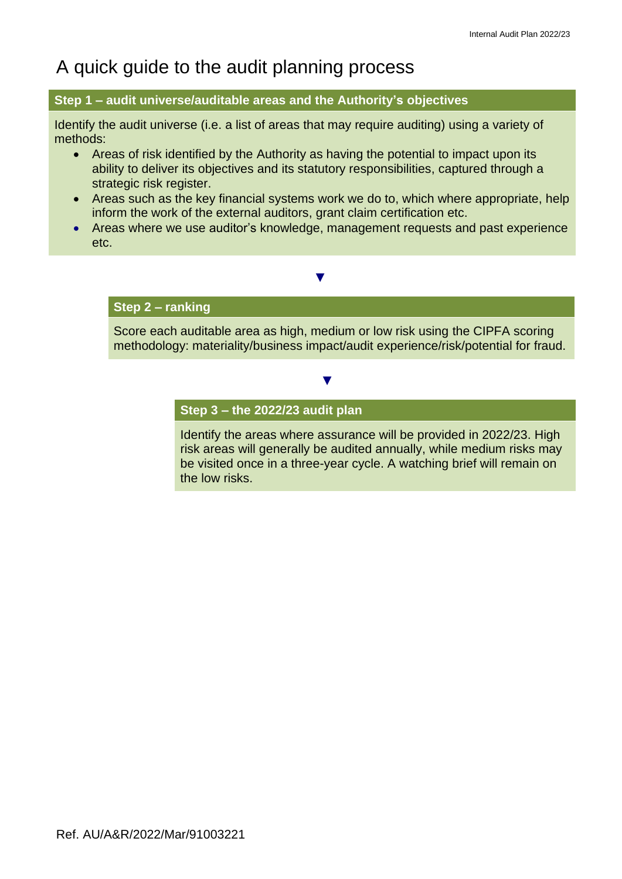# A quick guide to the audit planning process

### **Step 1 – audit universe/auditable areas and the Authority's objectives**

Identify the audit universe (i.e. a list of areas that may require auditing) using a variety of methods:

- Areas of risk identified by the Authority as having the potential to impact upon its ability to deliver its objectives and its statutory responsibilities, captured through a strategic risk register.
- Areas such as the key financial systems work we do to, which where appropriate, help inform the work of the external auditors, grant claim certification etc.
- Areas where we use auditor's knowledge, management requests and past experience etc.

 **▼**

### **Step 2 – ranking**

Score each auditable area as high, medium or low risk using the CIPFA scoring methodology: materiality/business impact/audit experience/risk/potential for fraud.

 **▼**

#### **Step 3 – the 2022/23 audit plan**

Identify the areas where assurance will be provided in 2022/23. High risk areas will generally be audited annually, while medium risks may be visited once in a three-year cycle. A watching brief will remain on the low risks.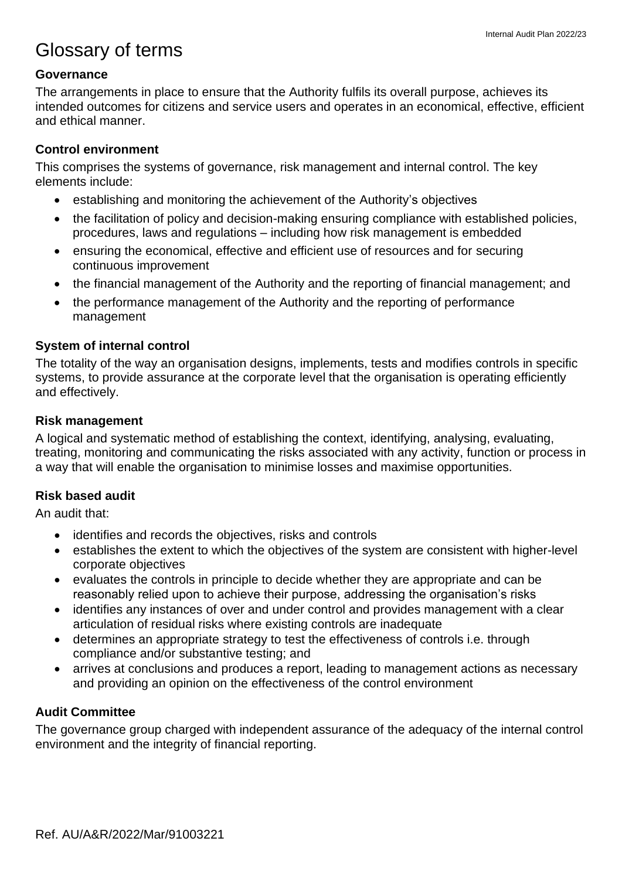# Glossary of terms

### **Governance**

The arrangements in place to ensure that the Authority fulfils its overall purpose, achieves its intended outcomes for citizens and service users and operates in an economical, effective, efficient and ethical manner.

## **Control environment**

This comprises the systems of governance, risk management and internal control. The key elements include:

- establishing and monitoring the achievement of the Authority's objectives
- the facilitation of policy and decision-making ensuring compliance with established policies, procedures, laws and regulations – including how risk management is embedded
- ensuring the economical, effective and efficient use of resources and for securing continuous improvement
- the financial management of the Authority and the reporting of financial management; and
- the performance management of the Authority and the reporting of performance management

### **System of internal control**

The totality of the way an organisation designs, implements, tests and modifies controls in specific systems, to provide assurance at the corporate level that the organisation is operating efficiently and effectively.

### **Risk management**

A logical and systematic method of establishing the context, identifying, analysing, evaluating, treating, monitoring and communicating the risks associated with any activity, function or process in a way that will enable the organisation to minimise losses and maximise opportunities.

### **Risk based audit**

An audit that:

- identifies and records the objectives, risks and controls
- establishes the extent to which the objectives of the system are consistent with higher-level corporate objectives
- evaluates the controls in principle to decide whether they are appropriate and can be reasonably relied upon to achieve their purpose, addressing the organisation's risks
- identifies any instances of over and under control and provides management with a clear articulation of residual risks where existing controls are inadequate
- determines an appropriate strategy to test the effectiveness of controls i.e. through compliance and/or substantive testing; and
- arrives at conclusions and produces a report, leading to management actions as necessary and providing an opinion on the effectiveness of the control environment

## **Audit Committee**

The governance group charged with independent assurance of the adequacy of the internal control environment and the integrity of financial reporting.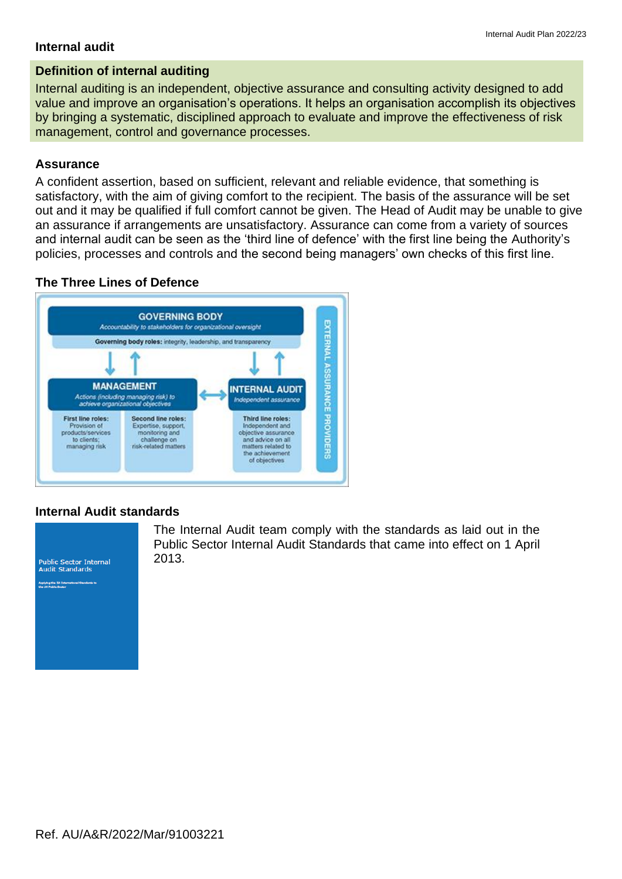#### **Internal audit**

### **Definition of internal auditing**

Internal auditing is an independent, objective assurance and consulting activity designed to add value and improve an organisation's operations. It helps an organisation accomplish its objectives by bringing a systematic, disciplined approach to evaluate and improve the effectiveness of risk management, control and governance processes.

### **Assurance**

A confident assertion, based on sufficient, relevant and reliable evidence, that something is satisfactory, with the aim of giving comfort to the recipient. The basis of the assurance will be set out and it may be qualified if full comfort cannot be given. The Head of Audit may be unable to give an assurance if arrangements are unsatisfactory. Assurance can come from a variety of sources and internal audit can be seen as the 'third line of defence' with the first line being the Authority's policies, processes and controls and the second being managers' own checks of this first line.

### **The Three Lines of Defence**



#### **Internal Audit standards**



The Internal Audit team comply with the standards as laid out in the Public Sector Internal Audit Standards that came into effect on 1 April 2013.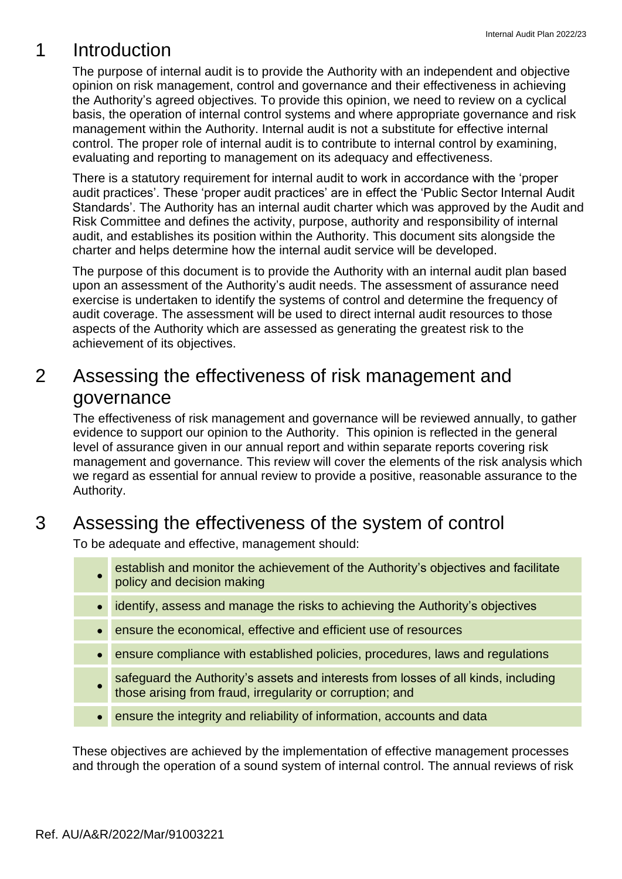# 1 Introduction

The purpose of internal audit is to provide the Authority with an independent and objective opinion on risk management, control and governance and their effectiveness in achieving the Authority's agreed objectives. To provide this opinion, we need to review on a cyclical basis, the operation of internal control systems and where appropriate governance and risk management within the Authority. Internal audit is not a substitute for effective internal control. The proper role of internal audit is to contribute to internal control by examining, evaluating and reporting to management on its adequacy and effectiveness.

There is a statutory requirement for internal audit to work in accordance with the 'proper audit practices'. These 'proper audit practices' are in effect the 'Public Sector Internal Audit Standards'. The Authority has an internal audit charter which was approved by the Audit and Risk Committee and defines the activity, purpose, authority and responsibility of internal audit, and establishes its position within the Authority. This document sits alongside the charter and helps determine how the internal audit service will be developed.

The purpose of this document is to provide the Authority with an internal audit plan based upon an assessment of the Authority's audit needs. The assessment of assurance need exercise is undertaken to identify the systems of control and determine the frequency of audit coverage. The assessment will be used to direct internal audit resources to those aspects of the Authority which are assessed as generating the greatest risk to the achievement of its objectives.

# 2 Assessing the effectiveness of risk management and governance

The effectiveness of risk management and governance will be reviewed annually, to gather evidence to support our opinion to the Authority. This opinion is reflected in the general level of assurance given in our annual report and within separate reports covering risk management and governance. This review will cover the elements of the risk analysis which we regard as essential for annual review to provide a positive, reasonable assurance to the Authority.

# 3 Assessing the effectiveness of the system of control

To be adequate and effective, management should:

- establish and monitor the achievement of the Authority's objectives and facilitate policy and decision making
- identify, assess and manage the risks to achieving the Authority's objectives
- ensure the economical, effective and efficient use of resources
- ensure compliance with established policies, procedures, laws and regulations
- safeguard the Authority's assets and interests from losses of all kinds, including those arising from fraud, irregularity or corruption; and
- ensure the integrity and reliability of information, accounts and data

These objectives are achieved by the implementation of effective management processes and through the operation of a sound system of internal control. The annual reviews of risk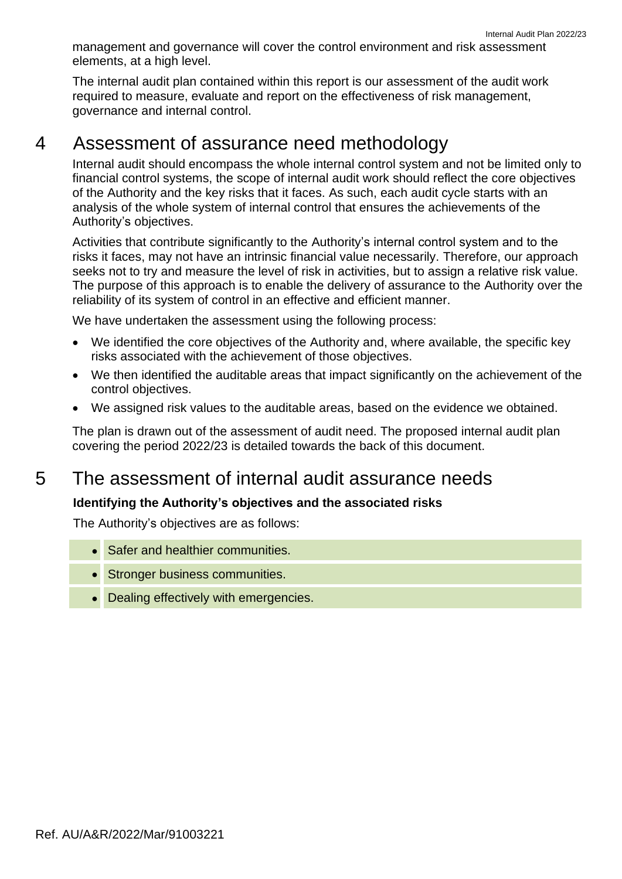Internal Audit Plan 2022/23 management and governance will cover the control environment and risk assessment elements, at a high level.

The internal audit plan contained within this report is our assessment of the audit work required to measure, evaluate and report on the effectiveness of risk management, governance and internal control.

## 4 Assessment of assurance need methodology

Internal audit should encompass the whole internal control system and not be limited only to financial control systems, the scope of internal audit work should reflect the core objectives of the Authority and the key risks that it faces. As such, each audit cycle starts with an analysis of the whole system of internal control that ensures the achievements of the Authority's objectives.

Activities that contribute significantly to the Authority's internal control system and to the risks it faces, may not have an intrinsic financial value necessarily. Therefore, our approach seeks not to try and measure the level of risk in activities, but to assign a relative risk value. The purpose of this approach is to enable the delivery of assurance to the Authority over the reliability of its system of control in an effective and efficient manner.

We have undertaken the assessment using the following process:

- We identified the core objectives of the Authority and, where available, the specific key risks associated with the achievement of those objectives.
- We then identified the auditable areas that impact significantly on the achievement of the control objectives.
- We assigned risk values to the auditable areas, based on the evidence we obtained.

The plan is drawn out of the assessment of audit need. The proposed internal audit plan covering the period 2022/23 is detailed towards the back of this document.

# 5 The assessment of internal audit assurance needs

### **Identifying the Authority's objectives and the associated risks**

The Authority's objectives are as follows:

- Safer and healthier communities.
- Stronger business communities.
- Dealing effectively with emergencies.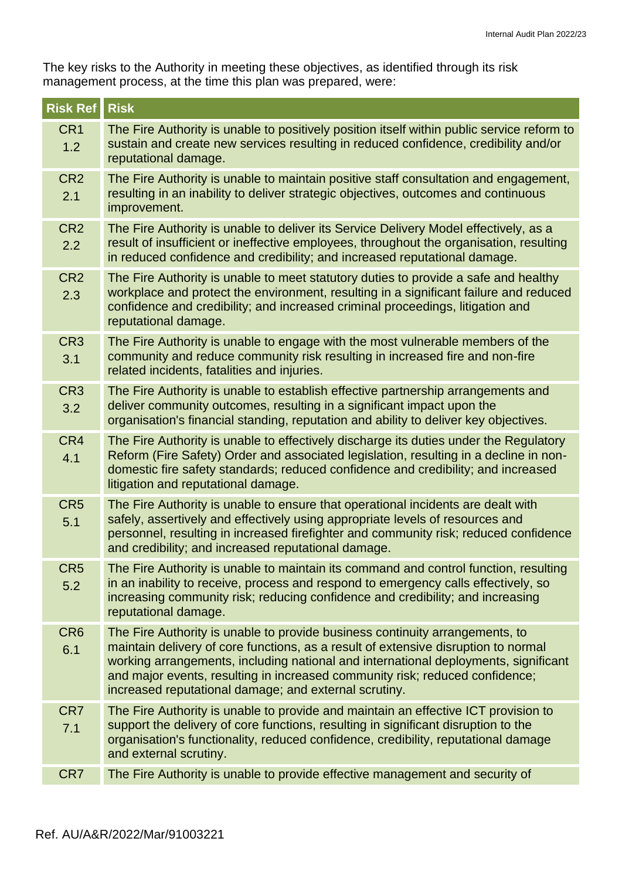The key risks to the Authority in meeting these objectives, as identified through its risk management process, at the time this plan was prepared, were:

| <b>Risk Ref</b>        | <b>Risk</b>                                                                                                                                                                                                                                                                                                                                                                                        |
|------------------------|----------------------------------------------------------------------------------------------------------------------------------------------------------------------------------------------------------------------------------------------------------------------------------------------------------------------------------------------------------------------------------------------------|
| CR <sub>1</sub><br>1.2 | The Fire Authority is unable to positively position itself within public service reform to<br>sustain and create new services resulting in reduced confidence, credibility and/or<br>reputational damage.                                                                                                                                                                                          |
| CR <sub>2</sub><br>2.1 | The Fire Authority is unable to maintain positive staff consultation and engagement,<br>resulting in an inability to deliver strategic objectives, outcomes and continuous<br>improvement.                                                                                                                                                                                                         |
| CR <sub>2</sub><br>2.2 | The Fire Authority is unable to deliver its Service Delivery Model effectively, as a<br>result of insufficient or ineffective employees, throughout the organisation, resulting<br>in reduced confidence and credibility; and increased reputational damage.                                                                                                                                       |
| CR <sub>2</sub><br>2.3 | The Fire Authority is unable to meet statutory duties to provide a safe and healthy<br>workplace and protect the environment, resulting in a significant failure and reduced<br>confidence and credibility; and increased criminal proceedings, litigation and<br>reputational damage.                                                                                                             |
| CR <sub>3</sub><br>3.1 | The Fire Authority is unable to engage with the most vulnerable members of the<br>community and reduce community risk resulting in increased fire and non-fire<br>related incidents, fatalities and injuries.                                                                                                                                                                                      |
| CR <sub>3</sub><br>3.2 | The Fire Authority is unable to establish effective partnership arrangements and<br>deliver community outcomes, resulting in a significant impact upon the<br>organisation's financial standing, reputation and ability to deliver key objectives.                                                                                                                                                 |
| CR4<br>4.1             | The Fire Authority is unable to effectively discharge its duties under the Regulatory<br>Reform (Fire Safety) Order and associated legislation, resulting in a decline in non-<br>domestic fire safety standards; reduced confidence and credibility; and increased<br>litigation and reputational damage.                                                                                         |
| CR <sub>5</sub><br>5.1 | The Fire Authority is unable to ensure that operational incidents are dealt with<br>safely, assertively and effectively using appropriate levels of resources and<br>personnel, resulting in increased firefighter and community risk; reduced confidence<br>and credibility; and increased reputational damage.                                                                                   |
| CR5<br>5.2             | The Fire Authority is unable to maintain its command and control function, resulting<br>in an inability to receive, process and respond to emergency calls effectively, so<br>increasing community risk; reducing confidence and credibility; and increasing<br>reputational damage.                                                                                                               |
| CR <sub>6</sub><br>6.1 | The Fire Authority is unable to provide business continuity arrangements, to<br>maintain delivery of core functions, as a result of extensive disruption to normal<br>working arrangements, including national and international deployments, significant<br>and major events, resulting in increased community risk; reduced confidence;<br>increased reputational damage; and external scrutiny. |
| CR7<br>7.1             | The Fire Authority is unable to provide and maintain an effective ICT provision to<br>support the delivery of core functions, resulting in significant disruption to the<br>organisation's functionality, reduced confidence, credibility, reputational damage<br>and external scrutiny.                                                                                                           |
| CR7                    | The Fire Authority is unable to provide effective management and security of                                                                                                                                                                                                                                                                                                                       |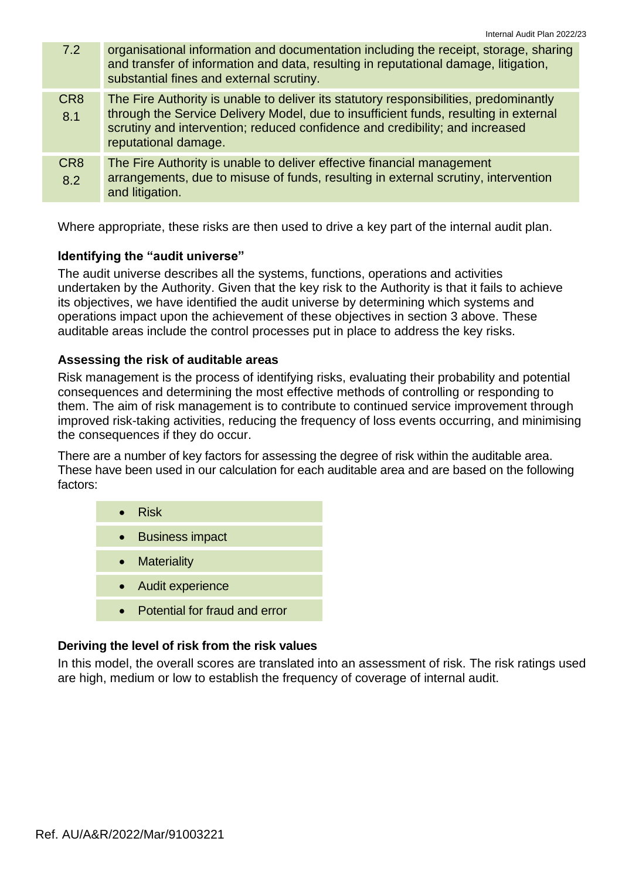| 7.2                    | organisational information and documentation including the receipt, storage, sharing<br>and transfer of information and data, resulting in reputational damage, litigation,<br>substantial fines and external scrutiny.                                                               |
|------------------------|---------------------------------------------------------------------------------------------------------------------------------------------------------------------------------------------------------------------------------------------------------------------------------------|
| CR <sub>8</sub><br>8.1 | The Fire Authority is unable to deliver its statutory responsibilities, predominantly<br>through the Service Delivery Model, due to insufficient funds, resulting in external<br>scrutiny and intervention; reduced confidence and credibility; and increased<br>reputational damage. |
| CR <sub>8</sub><br>8.2 | The Fire Authority is unable to deliver effective financial management<br>arrangements, due to misuse of funds, resulting in external scrutiny, intervention<br>and litigation.                                                                                                       |

Where appropriate, these risks are then used to drive a key part of the internal audit plan.

#### **Identifying the "audit universe"**

The audit universe describes all the systems, functions, operations and activities undertaken by the Authority. Given that the key risk to the Authority is that it fails to achieve its objectives, we have identified the audit universe by determining which systems and operations impact upon the achievement of these objectives in section 3 above. These auditable areas include the control processes put in place to address the key risks.

#### **Assessing the risk of auditable areas**

Risk management is the process of identifying risks, evaluating their probability and potential consequences and determining the most effective methods of controlling or responding to them. The aim of risk management is to contribute to continued service improvement through improved risk-taking activities, reducing the frequency of loss events occurring, and minimising the consequences if they do occur.

There are a number of key factors for assessing the degree of risk within the auditable area. These have been used in our calculation for each auditable area and are based on the following factors:

| $\bullet$ Risk                |
|-------------------------------|
| • Business impact             |
| • Materiality                 |
| • Audit experience            |
| Potential for fraud and error |

#### **Deriving the level of risk from the risk values**

In this model, the overall scores are translated into an assessment of risk. The risk ratings used are high, medium or low to establish the frequency of coverage of internal audit.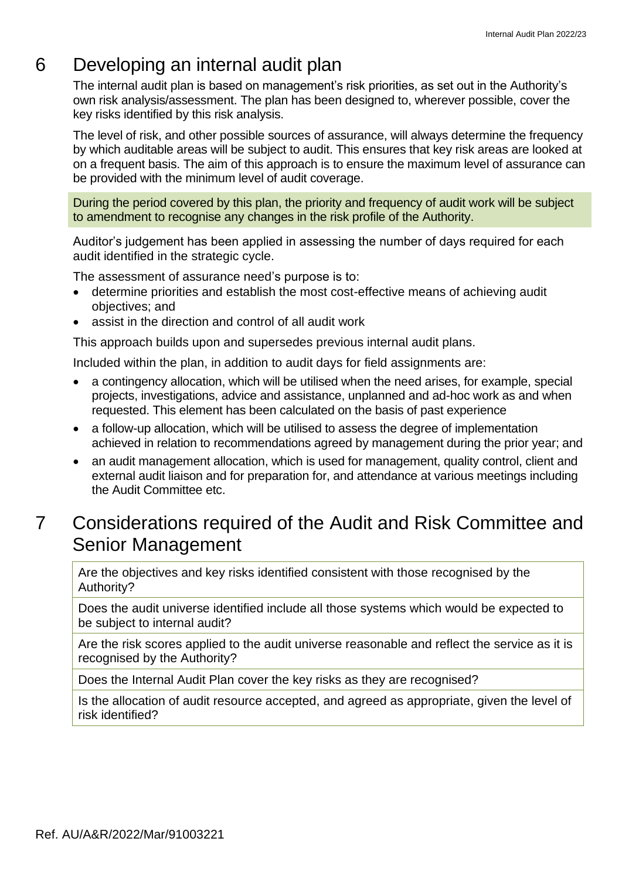# 6 Developing an internal audit plan

The internal audit plan is based on management's risk priorities, as set out in the Authority's own risk analysis/assessment. The plan has been designed to, wherever possible, cover the key risks identified by this risk analysis.

The level of risk, and other possible sources of assurance, will always determine the frequency by which auditable areas will be subject to audit. This ensures that key risk areas are looked at on a frequent basis. The aim of this approach is to ensure the maximum level of assurance can be provided with the minimum level of audit coverage.

During the period covered by this plan, the priority and frequency of audit work will be subject to amendment to recognise any changes in the risk profile of the Authority.

Auditor's judgement has been applied in assessing the number of days required for each audit identified in the strategic cycle.

The assessment of assurance need's purpose is to:

- determine priorities and establish the most cost-effective means of achieving audit objectives; and
- assist in the direction and control of all audit work

This approach builds upon and supersedes previous internal audit plans.

Included within the plan, in addition to audit days for field assignments are:

- a contingency allocation, which will be utilised when the need arises, for example, special projects, investigations, advice and assistance, unplanned and ad-hoc work as and when requested. This element has been calculated on the basis of past experience
- a follow-up allocation, which will be utilised to assess the degree of implementation achieved in relation to recommendations agreed by management during the prior year; and
- an audit management allocation, which is used for management, quality control, client and external audit liaison and for preparation for, and attendance at various meetings including the Audit Committee etc.

# 7 Considerations required of the Audit and Risk Committee and Senior Management

Are the objectives and key risks identified consistent with those recognised by the Authority?

Does the audit universe identified include all those systems which would be expected to be subject to internal audit?

Are the risk scores applied to the audit universe reasonable and reflect the service as it is recognised by the Authority?

Does the Internal Audit Plan cover the key risks as they are recognised?

Is the allocation of audit resource accepted, and agreed as appropriate, given the level of risk identified?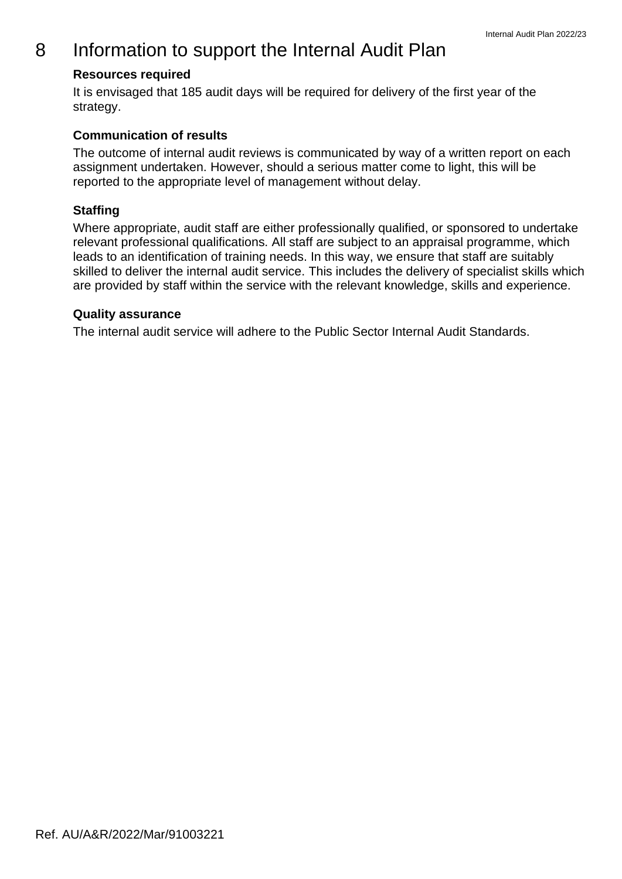# 8 Information to support the Internal Audit Plan

### **Resources required**

It is envisaged that 185 audit days will be required for delivery of the first year of the strategy.

### **Communication of results**

The outcome of internal audit reviews is communicated by way of a written report on each assignment undertaken. However, should a serious matter come to light, this will be reported to the appropriate level of management without delay.

### **Staffing**

Where appropriate, audit staff are either professionally qualified, or sponsored to undertake relevant professional qualifications. All staff are subject to an appraisal programme, which leads to an identification of training needs. In this way, we ensure that staff are suitably skilled to deliver the internal audit service. This includes the delivery of specialist skills which are provided by staff within the service with the relevant knowledge, skills and experience.

### **Quality assurance**

The internal audit service will adhere to the Public Sector Internal Audit Standards.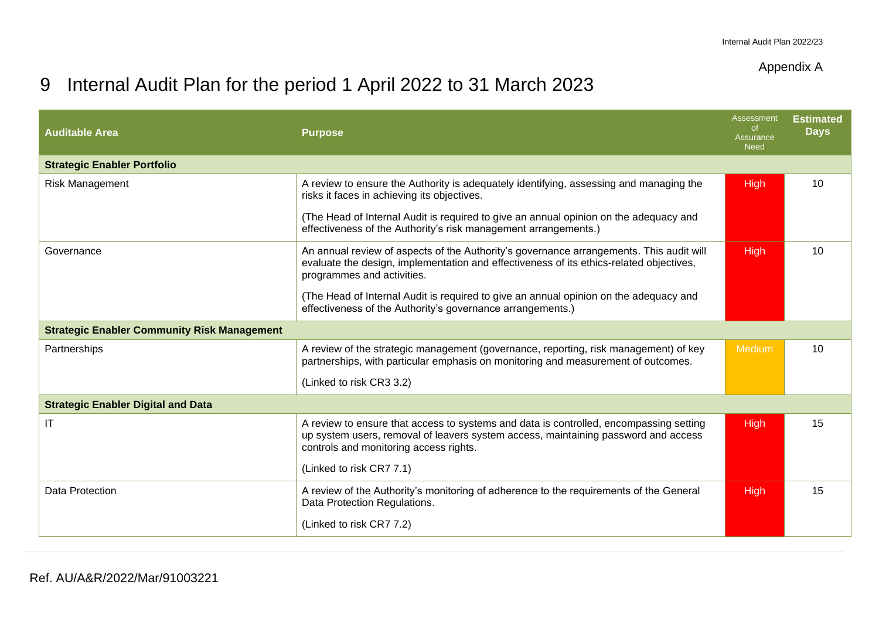### Appendix A

# 9 Internal Audit Plan for the period 1 April 2022 to 31 March 2023

| <b>Auditable Area</b>                              | <b>Purpose</b>                                                                                                                                                                                                         | Assessment<br>of.<br>Assurance<br><b>Need</b> | <b>Estimated</b><br><b>Days</b> |
|----------------------------------------------------|------------------------------------------------------------------------------------------------------------------------------------------------------------------------------------------------------------------------|-----------------------------------------------|---------------------------------|
| <b>Strategic Enabler Portfolio</b>                 |                                                                                                                                                                                                                        |                                               |                                 |
| Risk Management                                    | A review to ensure the Authority is adequately identifying, assessing and managing the<br>risks it faces in achieving its objectives.                                                                                  | <b>High</b>                                   | 10                              |
|                                                    | (The Head of Internal Audit is required to give an annual opinion on the adequacy and<br>effectiveness of the Authority's risk management arrangements.)                                                               |                                               |                                 |
| Governance                                         | An annual review of aspects of the Authority's governance arrangements. This audit will<br>evaluate the design, implementation and effectiveness of its ethics-related objectives,<br>programmes and activities.       | <b>High</b>                                   | 10                              |
|                                                    | (The Head of Internal Audit is required to give an annual opinion on the adequacy and<br>effectiveness of the Authority's governance arrangements.)                                                                    |                                               |                                 |
| <b>Strategic Enabler Community Risk Management</b> |                                                                                                                                                                                                                        |                                               |                                 |
| Partnerships                                       | A review of the strategic management (governance, reporting, risk management) of key<br>partnerships, with particular emphasis on monitoring and measurement of outcomes.                                              | Medium                                        | 10                              |
|                                                    | (Linked to risk CR3 3.2)                                                                                                                                                                                               |                                               |                                 |
| <b>Strategic Enabler Digital and Data</b>          |                                                                                                                                                                                                                        |                                               |                                 |
| <b>IT</b>                                          | A review to ensure that access to systems and data is controlled, encompassing setting<br>up system users, removal of leavers system access, maintaining password and access<br>controls and monitoring access rights. | <b>High</b>                                   | 15                              |
|                                                    | (Linked to risk CR7 7.1)                                                                                                                                                                                               |                                               |                                 |
| Data Protection                                    | A review of the Authority's monitoring of adherence to the requirements of the General<br>Data Protection Regulations.                                                                                                 | <b>High</b>                                   | 15                              |
|                                                    | (Linked to risk CR7 7.2)                                                                                                                                                                                               |                                               |                                 |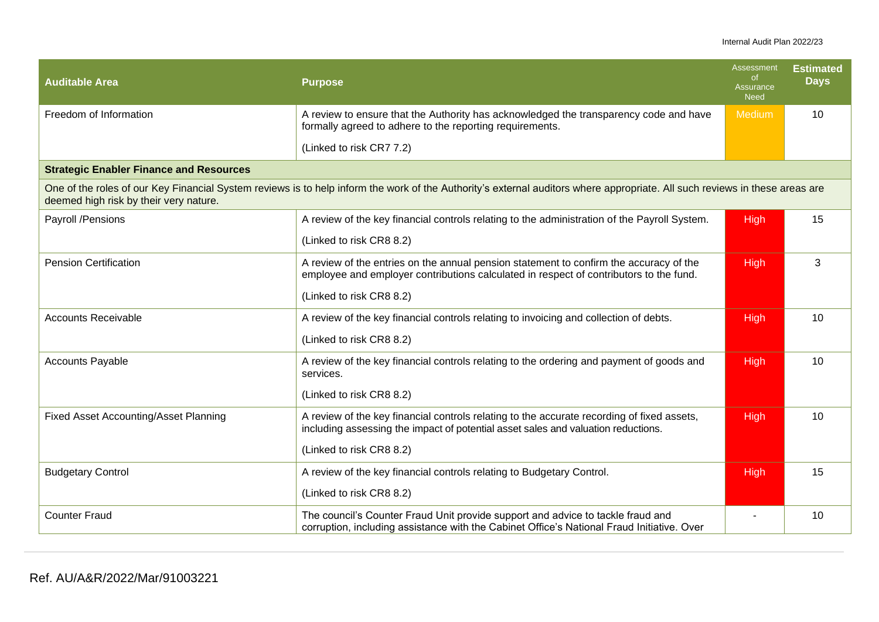#### Internal Audit Plan 2022/23

| <b>Auditable Area</b>                                                                                                                                                                                                 | <b>Purpose</b>                                                                                                                                                                   | Assessment<br><sub>of</sub><br>Assurance<br><b>Need</b> | <b>Estimated</b><br><b>Days</b> |
|-----------------------------------------------------------------------------------------------------------------------------------------------------------------------------------------------------------------------|----------------------------------------------------------------------------------------------------------------------------------------------------------------------------------|---------------------------------------------------------|---------------------------------|
| Freedom of Information                                                                                                                                                                                                | A review to ensure that the Authority has acknowledged the transparency code and have<br>formally agreed to adhere to the reporting requirements.                                | Medium                                                  | 10                              |
|                                                                                                                                                                                                                       | (Linked to risk CR7 7.2)                                                                                                                                                         |                                                         |                                 |
| <b>Strategic Enabler Finance and Resources</b>                                                                                                                                                                        |                                                                                                                                                                                  |                                                         |                                 |
| One of the roles of our Key Financial System reviews is to help inform the work of the Authority's external auditors where appropriate. All such reviews in these areas are<br>deemed high risk by their very nature. |                                                                                                                                                                                  |                                                         |                                 |
| Payroll /Pensions                                                                                                                                                                                                     | A review of the key financial controls relating to the administration of the Payroll System.                                                                                     | High                                                    | 15                              |
|                                                                                                                                                                                                                       | (Linked to risk CR8 8.2)                                                                                                                                                         |                                                         |                                 |
| <b>Pension Certification</b>                                                                                                                                                                                          | A review of the entries on the annual pension statement to confirm the accuracy of the<br>employee and employer contributions calculated in respect of contributors to the fund. | <b>High</b>                                             | 3                               |
|                                                                                                                                                                                                                       | (Linked to risk CR8 8.2)                                                                                                                                                         |                                                         |                                 |
| <b>Accounts Receivable</b>                                                                                                                                                                                            | A review of the key financial controls relating to invoicing and collection of debts.                                                                                            | <b>High</b>                                             | 10                              |
|                                                                                                                                                                                                                       | (Linked to risk CR8 8.2)                                                                                                                                                         |                                                         |                                 |
| <b>Accounts Payable</b>                                                                                                                                                                                               | A review of the key financial controls relating to the ordering and payment of goods and<br>services.                                                                            | High                                                    | 10                              |
|                                                                                                                                                                                                                       | (Linked to risk CR8 8.2)                                                                                                                                                         |                                                         |                                 |
| <b>Fixed Asset Accounting/Asset Planning</b>                                                                                                                                                                          | A review of the key financial controls relating to the accurate recording of fixed assets,<br>including assessing the impact of potential asset sales and valuation reductions.  | High                                                    | 10                              |
|                                                                                                                                                                                                                       | (Linked to risk CR8 8.2)                                                                                                                                                         |                                                         |                                 |
| <b>Budgetary Control</b>                                                                                                                                                                                              | A review of the key financial controls relating to Budgetary Control.                                                                                                            | <b>High</b>                                             | 15                              |
|                                                                                                                                                                                                                       | (Linked to risk CR8 8.2)                                                                                                                                                         |                                                         |                                 |
| <b>Counter Fraud</b>                                                                                                                                                                                                  | The council's Counter Fraud Unit provide support and advice to tackle fraud and<br>corruption, including assistance with the Cabinet Office's National Fraud Initiative. Over    |                                                         | 10                              |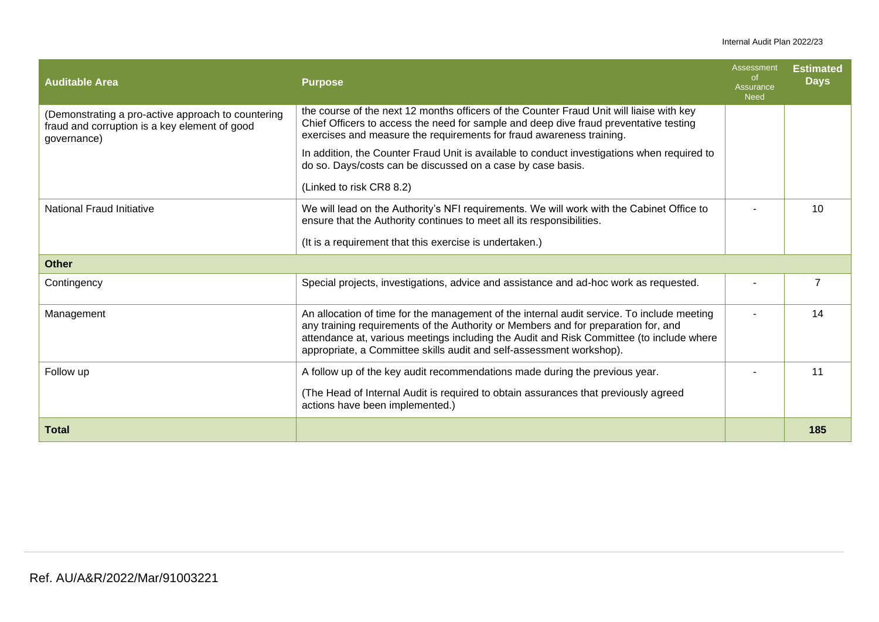#### Internal Audit Plan 2022/23

| <b>Auditable Area</b>                                                                                              | <b>Purpose</b>                                                                                                                                                                                                                                                                                                                                       | Assessment<br>of.<br>Assurance<br><b>Need</b> | <b>Estimated</b><br><b>Days</b> |
|--------------------------------------------------------------------------------------------------------------------|------------------------------------------------------------------------------------------------------------------------------------------------------------------------------------------------------------------------------------------------------------------------------------------------------------------------------------------------------|-----------------------------------------------|---------------------------------|
| (Demonstrating a pro-active approach to countering<br>fraud and corruption is a key element of good<br>governance) | the course of the next 12 months officers of the Counter Fraud Unit will liaise with key<br>Chief Officers to access the need for sample and deep dive fraud preventative testing<br>exercises and measure the requirements for fraud awareness training.                                                                                            |                                               |                                 |
|                                                                                                                    | In addition, the Counter Fraud Unit is available to conduct investigations when required to<br>do so. Days/costs can be discussed on a case by case basis.                                                                                                                                                                                           |                                               |                                 |
|                                                                                                                    | (Linked to risk CR8 8.2)                                                                                                                                                                                                                                                                                                                             |                                               |                                 |
| <b>National Fraud Initiative</b>                                                                                   | We will lead on the Authority's NFI requirements. We will work with the Cabinet Office to<br>ensure that the Authority continues to meet all its responsibilities.                                                                                                                                                                                   |                                               | 10                              |
|                                                                                                                    | (It is a requirement that this exercise is undertaken.)                                                                                                                                                                                                                                                                                              |                                               |                                 |
| <b>Other</b>                                                                                                       |                                                                                                                                                                                                                                                                                                                                                      |                                               |                                 |
| Contingency                                                                                                        | Special projects, investigations, advice and assistance and ad-hoc work as requested.                                                                                                                                                                                                                                                                |                                               | 7                               |
| Management                                                                                                         | An allocation of time for the management of the internal audit service. To include meeting<br>any training requirements of the Authority or Members and for preparation for, and<br>attendance at, various meetings including the Audit and Risk Committee (to include where<br>appropriate, a Committee skills audit and self-assessment workshop). |                                               | 14                              |
| Follow up                                                                                                          | A follow up of the key audit recommendations made during the previous year.                                                                                                                                                                                                                                                                          |                                               | 11                              |
|                                                                                                                    | (The Head of Internal Audit is required to obtain assurances that previously agreed<br>actions have been implemented.)                                                                                                                                                                                                                               |                                               |                                 |
| <b>Total</b>                                                                                                       |                                                                                                                                                                                                                                                                                                                                                      |                                               | 185                             |